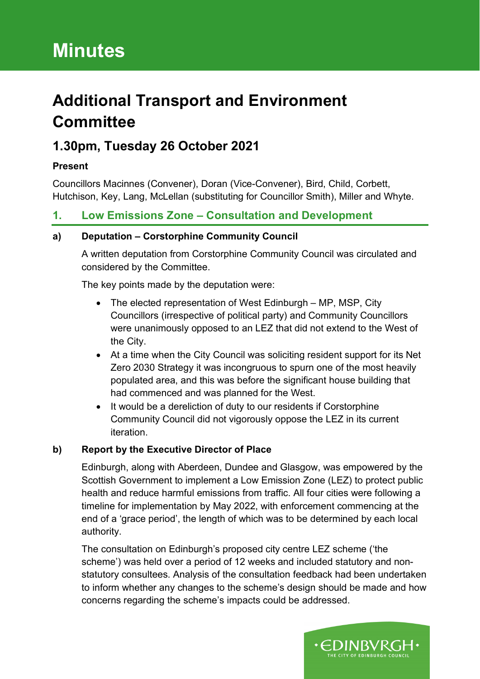# **Minutes**

## **Additional Transport and Environment Committee**

### **1.30pm, Tuesday 26 October 2021**

#### **Present**

Councillors Macinnes (Convener), Doran (Vice-Convener), Bird, Child, Corbett, Hutchison, Key, Lang, McLellan (substituting for Councillor Smith), Miller and Whyte.

### **1. Low Emissions Zone – Consultation and Development**

#### **a) Deputation – Corstorphine Community Council**

A written deputation from Corstorphine Community Council was circulated and considered by the Committee.

The key points made by the deputation were:

- The elected representation of West Edinburgh MP, MSP, City Councillors (irrespective of political party) and Community Councillors were unanimously opposed to an LEZ that did not extend to the West of the City.
- At a time when the City Council was soliciting resident support for its Net Zero 2030 Strategy it was incongruous to spurn one of the most heavily populated area, and this was before the significant house building that had commenced and was planned for the West.
- It would be a dereliction of duty to our residents if Corstorphine Community Council did not vigorously oppose the LEZ in its current iteration.

#### **b) Report by the Executive Director of Place**

Edinburgh, along with Aberdeen, Dundee and Glasgow, was empowered by the Scottish Government to implement a Low Emission Zone (LEZ) to protect public health and reduce harmful emissions from traffic. All four cities were following a timeline for implementation by May 2022, with enforcement commencing at the end of a 'grace period', the length of which was to be determined by each local authority.

The consultation on Edinburgh's proposed city centre LEZ scheme ('the scheme') was held over a period of 12 weeks and included statutory and nonstatutory consultees. Analysis of the consultation feedback had been undertaken to inform whether any changes to the scheme's design should be made and how concerns regarding the scheme's impacts could be addressed.

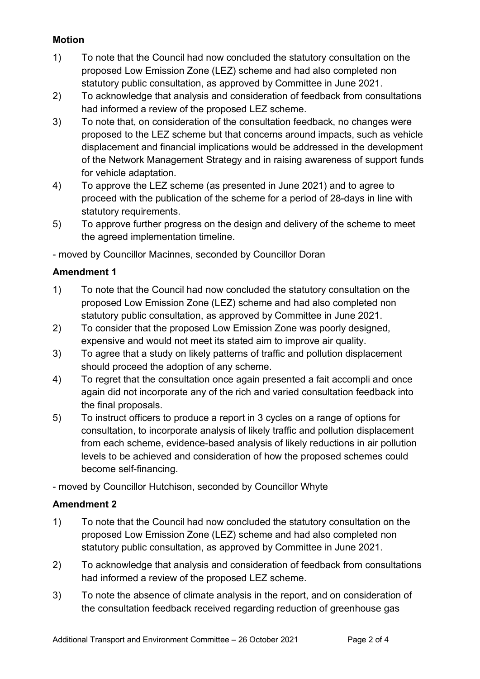#### **Motion**

- 1) To note that the Council had now concluded the statutory consultation on the proposed Low Emission Zone (LEZ) scheme and had also completed non statutory public consultation, as approved by Committee in June 2021.
- 2) To acknowledge that analysis and consideration of feedback from consultations had informed a review of the proposed LEZ scheme.
- 3) To note that, on consideration of the consultation feedback, no changes were proposed to the LEZ scheme but that concerns around impacts, such as vehicle displacement and financial implications would be addressed in the development of the Network Management Strategy and in raising awareness of support funds for vehicle adaptation.
- 4) To approve the LEZ scheme (as presented in June 2021) and to agree to proceed with the publication of the scheme for a period of 28-days in line with statutory requirements.
- 5) To approve further progress on the design and delivery of the scheme to meet the agreed implementation timeline.

- moved by Councillor Macinnes, seconded by Councillor Doran

#### **Amendment 1**

- 1) To note that the Council had now concluded the statutory consultation on the proposed Low Emission Zone (LEZ) scheme and had also completed non statutory public consultation, as approved by Committee in June 2021.
- 2) To consider that the proposed Low Emission Zone was poorly designed, expensive and would not meet its stated aim to improve air quality.
- 3) To agree that a study on likely patterns of traffic and pollution displacement should proceed the adoption of any scheme.
- 4) To regret that the consultation once again presented a fait accompli and once again did not incorporate any of the rich and varied consultation feedback into the final proposals.
- 5) To instruct officers to produce a report in 3 cycles on a range of options for consultation, to incorporate analysis of likely traffic and pollution displacement from each scheme, evidence-based analysis of likely reductions in air pollution levels to be achieved and consideration of how the proposed schemes could become self-financing.

- moved by Councillor Hutchison, seconded by Councillor Whyte

#### **Amendment 2**

- 1) To note that the Council had now concluded the statutory consultation on the proposed Low Emission Zone (LEZ) scheme and had also completed non statutory public consultation, as approved by Committee in June 2021.
- 2) To acknowledge that analysis and consideration of feedback from consultations had informed a review of the proposed LEZ scheme.
- 3) To note the absence of climate analysis in the report, and on consideration of the consultation feedback received regarding reduction of greenhouse gas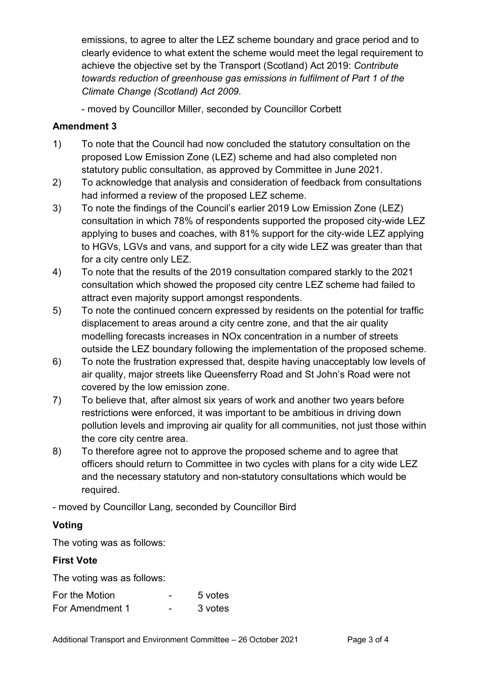emissions, to agree to alter the LEZ scheme boundary and grace period and to clearly evidence to what extent the scheme would meet the legal requirement to achieve the objective set by the Transport (Scotland) Act 2019: *Contribute towards reduction of greenhouse gas emissions in fulfilment of Part 1 of the Climate Change (Scotland) Act 2009.*

- moved by Councillor Miller, seconded by Councillor Corbett

#### **Amendment 3**

- 1) To note that the Council had now concluded the statutory consultation on the proposed Low Emission Zone (LEZ) scheme and had also completed non statutory public consultation, as approved by Committee in June 2021.
- 2) To acknowledge that analysis and consideration of feedback from consultations had informed a review of the proposed LEZ scheme.
- 3) To note the findings of the Council's earlier 2019 Low Emission Zone (LEZ) consultation in which 78% of respondents supported the proposed city-wide LEZ applying to buses and coaches, with 81% support for the city-wide LEZ applying to HGVs, LGVs and vans, and support for a city wide LEZ was greater than that for a city centre only LEZ.
- 4) To note that the results of the 2019 consultation compared starkly to the 2021 consultation which showed the proposed city centre LEZ scheme had failed to attract even majority support amongst respondents.
- 5) To note the continued concern expressed by residents on the potential for traffic displacement to areas around a city centre zone, and that the air quality modelling forecasts increases in NOx concentration in a number of streets outside the LEZ boundary following the implementation of the proposed scheme.
- 6) To note the frustration expressed that, despite having unacceptably low levels of air quality, major streets like Queensferry Road and St John's Road were not covered by the low emission zone.
- 7) To believe that, after almost six years of work and another two years before restrictions were enforced, it was important to be ambitious in driving down pollution levels and improving air quality for all communities, not just those within the core city centre area.
- 8) To therefore agree not to approve the proposed scheme and to agree that officers should return to Committee in two cycles with plans for a city wide LEZ and the necessary statutory and non-statutory consultations which would be required.

- moved by Councillor Lang, seconded by Councillor Bird

#### **Voting**

The voting was as follows:

#### **First Vote**

The voting was as follows:

| For the Motion  | 5 votes |
|-----------------|---------|
| For Amendment 1 | 3 votes |